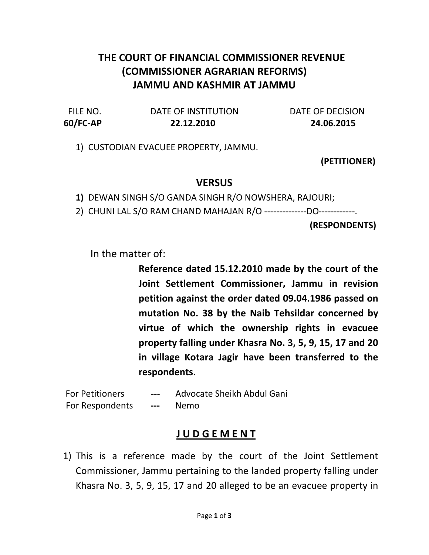## THE COURT OF FINANCIAL COMMISSIONER REVENUE (COMMISSIONER AGRARIAN REFORMS) JAMMU AND KASHMIR AT JAMMU

FILE NO. DATE OF INSTITUTION DATE OF DECISION 60/FC-AP 22.12.2010 24.06.2015

1) CUSTODIAN EVACUEE PROPERTY, JAMMU.

(PETITIONER)

## **VERSUS**

1) DEWAN SINGH S/O GANDA SINGH R/O NOWSHERA, RAJOURI;

2) CHUNI LAL S/O RAM CHAND MAHAJAN R/O --------------DO------------.

(RESPONDENTS)

In the matter of:

Reference dated 15.12.2010 made by the court of the Joint Settlement Commissioner, Jammu in revision petition against the order dated 09.04.1986 passed on mutation No. 38 by the Naib Tehsildar concerned by virtue of which the ownership rights in evacuee property falling under Khasra No. 3, 5, 9, 15, 17 and 20 in village Kotara Jagir have been transferred to the respondents.

For Petitioners --- Advocate Sheikh Abdul Gani For Respondents --- Nemo

## J U D G E M E N T

1) This is a reference made by the court of the Joint Settlement Commissioner, Jammu pertaining to the landed property falling under Khasra No. 3, 5, 9, 15, 17 and 20 alleged to be an evacuee property in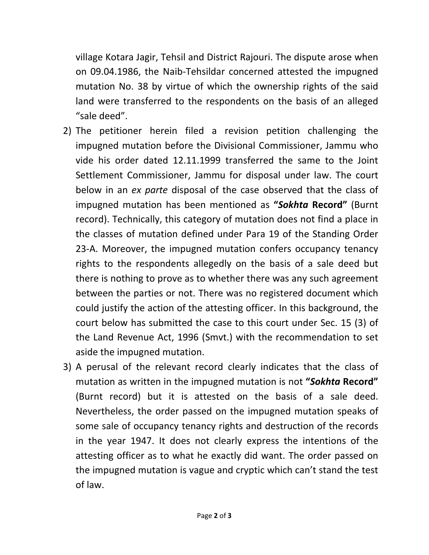village Kotara Jagir, Tehsil and District Rajouri. The dispute arose when on 09.04.1986, the Naib-Tehsildar concerned attested the impugned mutation No. 38 by virtue of which the ownership rights of the said land were transferred to the respondents on the basis of an alleged "sale deed".

- 2) The petitioner herein filed a revision petition challenging the impugned mutation before the Divisional Commissioner, Jammu who vide his order dated 12.11.1999 transferred the same to the Joint Settlement Commissioner, Jammu for disposal under law. The court below in an ex parte disposal of the case observed that the class of impugned mutation has been mentioned as "Sokhta Record" (Burnt record). Technically, this category of mutation does not find a place in the classes of mutation defined under Para 19 of the Standing Order 23-A. Moreover, the impugned mutation confers occupancy tenancy rights to the respondents allegedly on the basis of a sale deed but there is nothing to prove as to whether there was any such agreement between the parties or not. There was no registered document which could justify the action of the attesting officer. In this background, the court below has submitted the case to this court under Sec. 15 (3) of the Land Revenue Act, 1996 (Smvt.) with the recommendation to set aside the impugned mutation.
- 3) A perusal of the relevant record clearly indicates that the class of mutation as written in the impugned mutation is not "Sokhta Record" (Burnt record) but it is attested on the basis of a sale deed. Nevertheless, the order passed on the impugned mutation speaks of some sale of occupancy tenancy rights and destruction of the records in the year 1947. It does not clearly express the intentions of the attesting officer as to what he exactly did want. The order passed on the impugned mutation is vague and cryptic which can't stand the test of law.